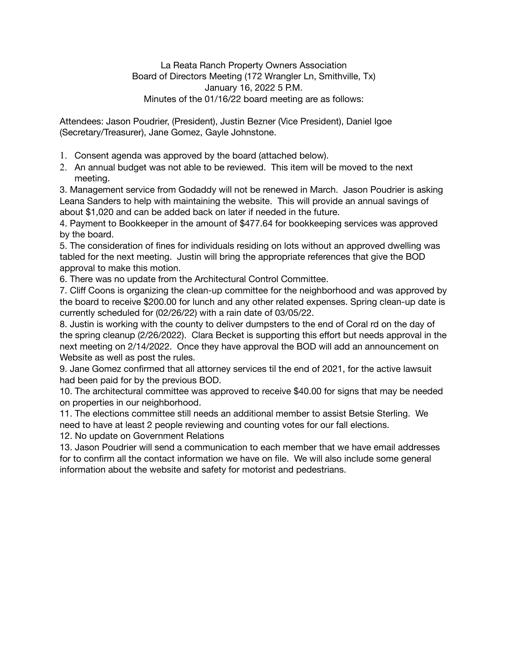Attendees: Jason Poudrier, (President), Justin Bezner (Vice President), Daniel Igoe (Secretary/Treasurer), Jane Gomez, Gayle Johnstone.

- 1. Consent agenda was approved by the board (attached below).
- 2. An annual budget was not able to be reviewed. This item will be moved to the next meeting.

3. Management service from Godaddy will not be renewed in March. Jason Poudrier is asking Leana Sanders to help with maintaining the website. This will provide an annual savings of about \$1,020 and can be added back on later if needed in the future.

4. Payment to Bookkeeper in the amount of \$477.64 for bookkeeping services was approved by the board.

5. The consideration of fines for individuals residing on lots without an approved dwelling was tabled for the next meeting. Justin will bring the appropriate references that give the BOD approval to make this motion.

6. There was no update from the Architectural Control Committee.

7. Cliff Coons is organizing the clean-up committee for the neighborhood and was approved by the board to receive \$200.00 for lunch and any other related expenses. Spring clean-up date is currently scheduled for (02/26/22) with a rain date of 03/05/22.

8. Justin is working with the county to deliver dumpsters to the end of Coral rd on the day of the spring cleanup (2/26/2022). Clara Becket is supporting this effort but needs approval in the next meeting on 2/14/2022. Once they have approval the BOD will add an announcement on Website as well as post the rules.

9. Jane Gomez confirmed that all attorney services til the end of 2021, for the active lawsuit had been paid for by the previous BOD.

10. The architectural committee was approved to receive \$40.00 for signs that may be needed on properties in our neighborhood.

11. The elections committee still needs an additional member to assist Betsie Sterling. We need to have at least 2 people reviewing and counting votes for our fall elections.

12. No update on Government Relations

13. Jason Poudrier will send a communication to each member that we have email addresses for to confirm all the contact information we have on file. We will also include some general information about the website and safety for motorist and pedestrians.